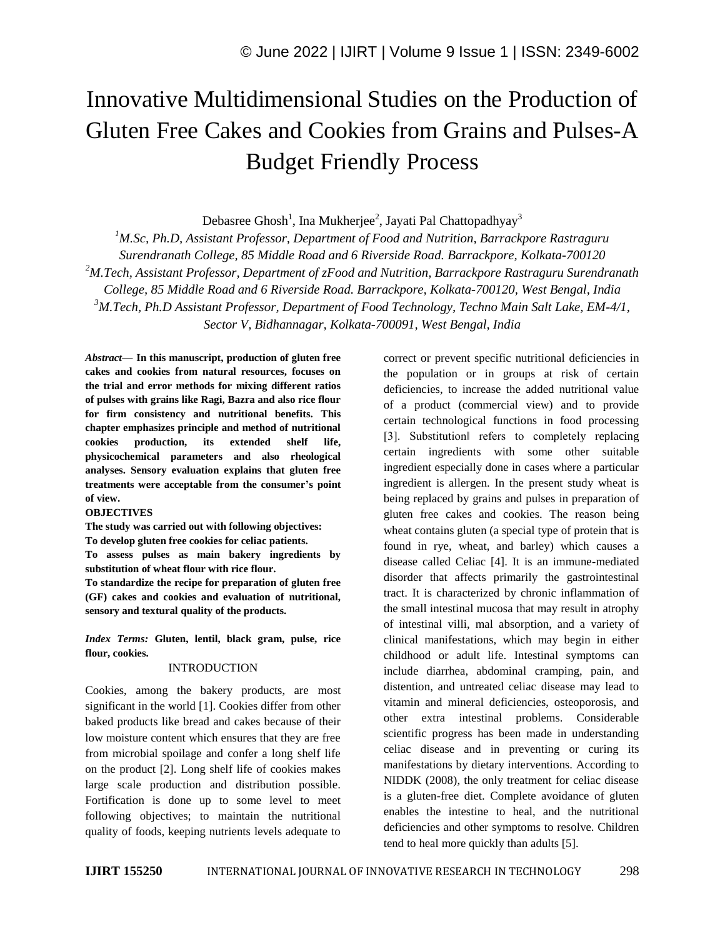# Innovative Multidimensional Studies on the Production of Gluten Free Cakes and Cookies from Grains and Pulses-A Budget Friendly Process

Debasree Ghosh<sup>1</sup>, Ina Mukherjee<sup>2</sup>, Jayati Pal Chattopadhyay<sup>3</sup>

*<sup>1</sup>M.Sc, Ph.D, Assistant Professor, Department of Food and Nutrition, Barrackpore Rastraguru Surendranath College, 85 Middle Road and 6 Riverside Road. Barrackpore, Kolkata-700120 <sup>2</sup>M.Tech, Assistant Professor, Department of zFood and Nutrition, Barrackpore Rastraguru Surendranath College, 85 Middle Road and 6 Riverside Road. Barrackpore, Kolkata-700120, West Bengal, India <sup>3</sup>M.Tech, Ph.D Assistant Professor, Department of Food Technology, Techno Main Salt Lake, EM-4/1, Sector V, Bidhannagar, Kolkata-700091, West Bengal, India*

*Abstract—* **In this manuscript, production of gluten free cakes and cookies from natural resources, focuses on the trial and error methods for mixing different ratios of pulses with grains like Ragi, Bazra and also rice flour for firm consistency and nutritional benefits. This chapter emphasizes principle and method of nutritional cookies production, its extended shelf life, physicochemical parameters and also rheological analyses. Sensory evaluation explains that gluten free treatments were acceptable from the consumer's point of view.**

## **OBJECTIVES**

**The study was carried out with following objectives: To develop gluten free cookies for celiac patients.** 

**To assess pulses as main bakery ingredients by substitution of wheat flour with rice flour.**

**To standardize the recipe for preparation of gluten free (GF) cakes and cookies and evaluation of nutritional, sensory and textural quality of the products.**

*Index Terms:* **Gluten, lentil, black gram, pulse, rice flour, cookies.**

## INTRODUCTION

Cookies, among the bakery products, are most significant in the world [1]. Cookies differ from other baked products like bread and cakes because of their low moisture content which ensures that they are free from microbial spoilage and confer a long shelf life on the product [2]. Long shelf life of cookies makes large scale production and distribution possible. Fortification is done up to some level to meet following objectives; to maintain the nutritional quality of foods, keeping nutrients levels adequate to

correct or prevent specific nutritional deficiencies in the population or in groups at risk of certain deficiencies, to increase the added nutritional value of a product (commercial view) and to provide certain technological functions in food processing [3]. Substitution refers to completely replacing certain ingredients with some other suitable ingredient especially done in cases where a particular ingredient is allergen. In the present study wheat is being replaced by grains and pulses in preparation of gluten free cakes and cookies. The reason being wheat contains gluten (a special type of protein that is found in rye, wheat, and barley) which causes a disease called Celiac [4]. It is an immune-mediated disorder that affects primarily the gastrointestinal tract. It is characterized by chronic inflammation of the small intestinal mucosa that may result in atrophy of intestinal villi, mal absorption, and a variety of clinical manifestations, which may begin in either childhood or adult life. Intestinal symptoms can include diarrhea, abdominal cramping, pain, and distention, and untreated celiac disease may lead to vitamin and mineral deficiencies, osteoporosis, and other extra intestinal problems. Considerable scientific progress has been made in understanding celiac disease and in preventing or curing its manifestations by dietary interventions. According to NIDDK (2008), the only treatment for celiac disease is a gluten-free diet. Complete avoidance of gluten enables the intestine to heal, and the nutritional deficiencies and other symptoms to resolve. Children tend to heal more quickly than adults [5].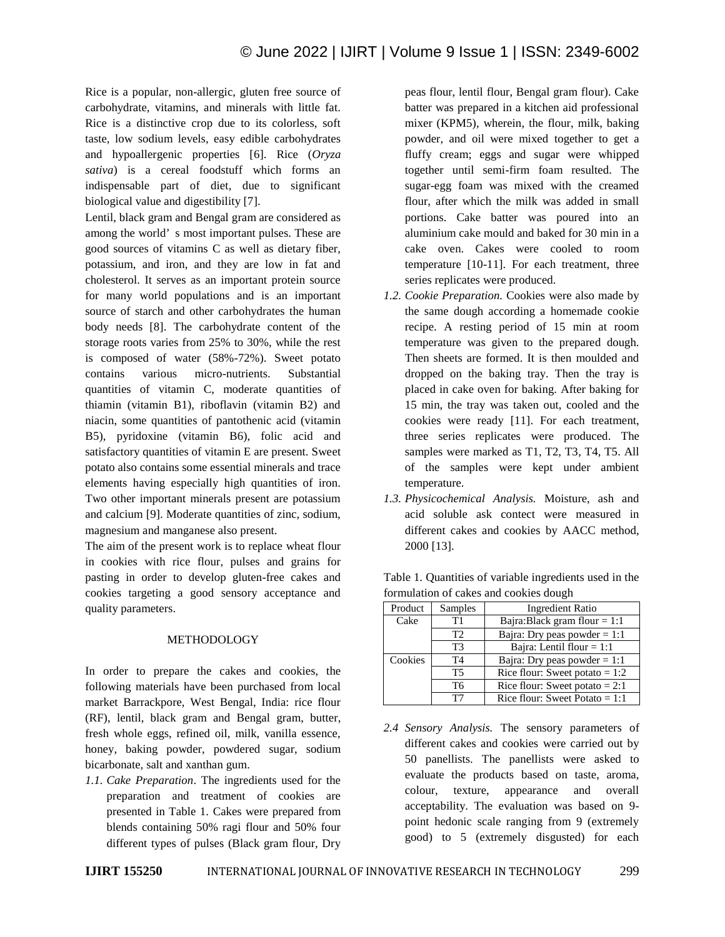Rice is a popular, non-allergic, gluten free source of carbohydrate, vitamins, and minerals with little fat. Rice is a distinctive crop due to its colorless, soft taste, low sodium levels, easy edible carbohydrates and hypoallergenic properties [6]. Rice (*Oryza sativa*) is a cereal foodstuff which forms an indispensable part of diet, due to significant biological value and digestibility [7].

Lentil, black gram and Bengal gram are considered as among the world' s most important pulses. These are good sources of vitamins C as well as dietary fiber, potassium, and iron, and they are low in fat and cholesterol. It serves as an important protein source for many world populations and is an important source of starch and other carbohydrates the human body needs [8]. The carbohydrate content of the storage roots varies from 25% to 30%, while the rest is composed of water (58%-72%). Sweet potato contains various micro-nutrients. Substantial quantities of vitamin C, moderate quantities of thiamin (vitamin B1), riboflavin (vitamin B2) and niacin, some quantities of pantothenic acid (vitamin B5), pyridoxine (vitamin B6), folic acid and satisfactory quantities of vitamin E are present. Sweet potato also contains some essential minerals and trace elements having especially high quantities of iron. Two other important minerals present are potassium and calcium [9]. Moderate quantities of zinc, sodium, magnesium and manganese also present.

The aim of the present work is to replace wheat flour in cookies with rice flour, pulses and grains for pasting in order to develop gluten-free cakes and cookies targeting a good sensory acceptance and quality parameters.

## **METHODOLOGY**

In order to prepare the cakes and cookies, the following materials have been purchased from local market Barrackpore, West Bengal, India: rice flour (RF), lentil, black gram and Bengal gram, butter, fresh whole eggs, refined oil, milk, vanilla essence, honey, baking powder, powdered sugar, sodium bicarbonate, salt and xanthan gum.

*1.1. Cake Preparation*. The ingredients used for the preparation and treatment of cookies are presented in Table 1. Cakes were prepared from blends containing 50% ragi flour and 50% four different types of pulses (Black gram flour, Dry peas flour, lentil flour, Bengal gram flour). Cake batter was prepared in a kitchen aid professional mixer (KPM5), wherein, the flour, milk, baking powder, and oil were mixed together to get a fluffy cream; eggs and sugar were whipped together until semi-firm foam resulted. The sugar-egg foam was mixed with the creamed flour, after which the milk was added in small portions. Cake batter was poured into an aluminium cake mould and baked for 30 min in a cake oven. Cakes were cooled to room temperature [10-11]. For each treatment, three series replicates were produced.

- *1.2. Cookie Preparation.* Cookies were also made by the same dough according a homemade cookie recipe. A resting period of 15 min at room temperature was given to the prepared dough. Then sheets are formed. It is then moulded and dropped on the baking tray. Then the tray is placed in cake oven for baking. After baking for 15 min, the tray was taken out, cooled and the cookies were ready [11]. For each treatment, three series replicates were produced. The samples were marked as T1, T2, T3, T4, T5. All of the samples were kept under ambient temperature.
- *1.3. Physicochemical Analysis.* Moisture, ash and acid soluble ask contect were measured in different cakes and cookies by AACC method, 2000 [13].

| Product | Samples        | <b>Ingredient Ratio</b>          |  |  |
|---------|----------------|----------------------------------|--|--|
| Cake    | Τ1             | Bajra:Black gram flour = $1:1$   |  |  |
|         | T2             | Bajra: Dry peas powder = $1:1$   |  |  |
|         | T3             | Bajra: Lentil flour $= 1:1$      |  |  |
| Cookies | T <sub>4</sub> | Bajra: Dry peas powder $= 1:1$   |  |  |
|         | T5             | Rice flour: Sweet potato = $1:2$ |  |  |
|         | T6             | Rice flour: Sweet potato = $2:1$ |  |  |
|         | דיד            | Rice flour: Sweet Potato = $1:1$ |  |  |

Table 1. Quantities of variable ingredients used in the formulation of cakes and cookies dough

*2.4 Sensory Analysis.* The sensory parameters of different cakes and cookies were carried out by 50 panellists. The panellists were asked to evaluate the products based on taste, aroma, colour, texture, appearance and overall acceptability. The evaluation was based on 9 point hedonic scale ranging from 9 (extremely good) to 5 (extremely disgusted) for each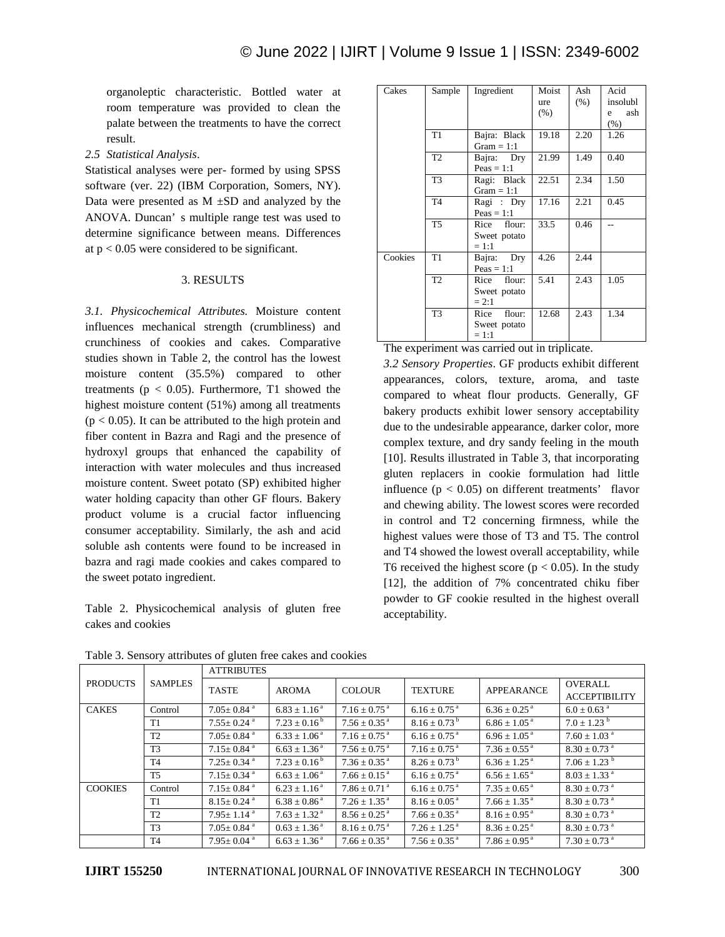organoleptic characteristic. Bottled water at room temperature was provided to clean the palate between the treatments to have the correct result.

*2.5 Statistical Analysis*.

Statistical analyses were per- formed by using SPSS software (ver. 22) (IBM Corporation, Somers, NY). Data were presented as  $M \pm SD$  and analyzed by the ANOVA. Duncan' s multiple range test was used to determine significance between means. Differences at  $p < 0.05$  were considered to be significant.

# 3. RESULTS

*3.1. Physicochemical Attributes.* Moisture content influences mechanical strength (crumbliness) and crunchiness of cookies and cakes. Comparative studies shown in Table 2, the control has the lowest moisture content (35.5%) compared to other treatments ( $p < 0.05$ ). Furthermore, T1 showed the highest moisture content (51%) among all treatments  $(p < 0.05)$ . It can be attributed to the high protein and fiber content in Bazra and Ragi and the presence of hydroxyl groups that enhanced the capability of interaction with water molecules and thus increased moisture content. Sweet potato (SP) exhibited higher water holding capacity than other GF flours. Bakery product volume is a crucial factor influencing consumer acceptability. Similarly, the ash and acid soluble ash contents were found to be increased in bazra and ragi made cookies and cakes compared to the sweet potato ingredient.

Table 2. Physicochemical analysis of gluten free cakes and cookies

| Cakes   | Sample         | Ingredient     | Moist   | Ash  | Acid     |
|---------|----------------|----------------|---------|------|----------|
|         |                |                | ure     | (% ) | insolubl |
|         |                |                | $(\% )$ |      | ash<br>e |
|         |                |                |         |      | $(\% )$  |
|         | T <sub>1</sub> | Bajra: Black   | 19.18   | 2.20 | 1.26     |
|         |                | Gram $= 1:1$   |         |      |          |
|         | T <sub>2</sub> | Bajra: Dry     | 21.99   | 1.49 | 0.40     |
|         |                | $Peas = 1:1$   |         |      |          |
|         | T <sub>3</sub> | Ragi: Black    | 22.51   | 2.34 | 1.50     |
|         |                | Gram $= 1:1$   |         |      |          |
|         | T <sub>4</sub> | Ragi: Dry      | 17.16   | 2.21 | 0.45     |
|         |                | $Peas = 1:1$   |         |      |          |
|         | T <sub>5</sub> | flour:<br>Rice | 33.5    | 0.46 |          |
|         |                | Sweet potato   |         |      |          |
|         |                | $= 1:1$        |         |      |          |
| Cookies | T1             | Bajra: Dry     | 4.26    | 2.44 |          |
|         |                | $Peas = 1:1$   |         |      |          |
|         | T <sub>2</sub> | Rice flour:    | 5.41    | 2.43 | 1.05     |
|         |                | Sweet potato   |         |      |          |
|         |                | $= 2:1$        |         |      |          |
|         | T <sub>3</sub> | flour:<br>Rice | 12.68   | 2.43 | 1.34     |
|         |                | Sweet potato   |         |      |          |
|         |                | $= 1:1$        |         |      |          |

The experiment was carried out in triplicate.

*3.2 Sensory Properties*. GF products exhibit different appearances, colors, texture, aroma, and taste compared to wheat flour products. Generally, GF bakery products exhibit lower sensory acceptability due to the undesirable appearance, darker color, more complex texture, and dry sandy feeling in the mouth [10]. Results illustrated in Table 3, that incorporating gluten replacers in cookie formulation had little influence ( $p < 0.05$ ) on different treatments' flavor and chewing ability. The lowest scores were recorded in control and T2 concerning firmness, while the highest values were those of T3 and T5. The control and T4 showed the lowest overall acceptability, while T6 received the highest score ( $p < 0.05$ ). In the study [12], the addition of 7% concentrated chiku fiber powder to GF cookie resulted in the highest overall acceptability.

|                 | <b>SAMPLES</b> | <b>ATTRIBUTES</b>            |                              |                              |                              |                               |                              |
|-----------------|----------------|------------------------------|------------------------------|------------------------------|------------------------------|-------------------------------|------------------------------|
| <b>PRODUCTS</b> |                | <b>TASTE</b>                 | <b>AROMA</b>                 | <b>COLOUR</b>                | <b>TEXTURE</b>               | APPEARANCE                    | <b>OVERALL</b>               |
|                 |                |                              |                              |                              |                              |                               | <b>ACCEPTIBILITY</b>         |
| <b>CAKES</b>    | Control        | $7.05 \pm 0.84$ <sup>a</sup> | $6.83 \pm 1.16^{\text{a}}$   | $7.16 + 0.75$ <sup>a</sup>   | $6.16 \pm 0.75$ <sup>a</sup> | $6.36 \pm 0.25$ <sup>a</sup>  | $6.0 + 0.63$ <sup>a</sup>    |
|                 | T1             | $7.55 \pm 0.24$ <sup>a</sup> | $7.23 \pm 0.16^{\mathrm{b}}$ | $7.56 + 0.35^{\text{a}}$     | $8.16 \pm 0.73^{\text{ b}}$  | $6.86 \pm 1.05^{\text{ a}}$   | $7.0 \pm 1.23$ <sup>b</sup>  |
|                 | T2             | $7.05 \pm 0.84$ <sup>a</sup> | $6.33 \pm 1.06^{\text{ a}}$  | $7.16 \pm 0.75$ <sup>a</sup> | $6.16 \pm 0.75$ <sup>a</sup> | $6.96 \pm 1.05^{\text{ a}}$   | $7.60 + 1.03$ <sup>a</sup>   |
|                 | T <sub>3</sub> | $7.15 \pm 0.84$ <sup>a</sup> | $6.63 \pm 1.36^{\text{a}}$   | $7.56 \pm 0.75$ <sup>a</sup> | $7.16 \pm 0.75$ <sup>a</sup> | $7.36 \pm 0.55$ <sup>a</sup>  | $8.30 \pm 0.73$ <sup>a</sup> |
|                 | T <sub>4</sub> | $7.25 + 0.34$ <sup>a</sup>   | $7.23 + 0.16^{\circ}$        | $7.36 \pm 0.35$ <sup>a</sup> | $8.26 \pm 0.73^{\mathrm{b}}$ | $6.36 + 1.25$ <sup>a</sup>    | $7.06 + 1.23$ <sup>b</sup>   |
|                 | T <sub>5</sub> | $7.15 \pm 0.34$ <sup>a</sup> | $6.63 \pm 1.06^{\text{ a}}$  | $7.66 \pm 0.15^{\text{a}}$   | $6.16 \pm 0.75$ <sup>a</sup> | $6.56 \pm 1.65^{\text{ a}}$   | $8.03 \pm 1.33$ <sup>a</sup> |
| <b>COOKIES</b>  | Control        | $7.15 \pm 0.84$ <sup>a</sup> | $6.23 \pm 1.16^{\text{a}}$   | $7.86 \pm 0.71$ <sup>a</sup> | $6.16 \pm 0.75$ <sup>a</sup> | $7.35 \pm 0.65$ <sup>a</sup>  | $8.30 \pm 0.73$ <sup>a</sup> |
|                 | T1             | $8.15 \pm 0.24$ <sup>a</sup> | $6.38 \pm 0.86^{\text{a}}$   | $7.26 \pm 1.35^{\text{a}}$   | $8.16 \pm 0.05^{\text{ a}}$  | $7.66 \pm 1.35$ <sup>a</sup>  | $8.30 \pm 0.73$ <sup>a</sup> |
|                 | T <sub>2</sub> | $7.95 + 1.14$ <sup>a</sup>   | $7.63 + 1.32$ <sup>a</sup>   | $8.56 + 0.25$ <sup>a</sup>   | $7.66 \pm 0.35$ <sup>a</sup> | $8.16 \div 0.95$ <sup>a</sup> | $8.30 + 0.73$ <sup>a</sup>   |
|                 | T <sub>3</sub> | $7.05 \pm 0.84$ <sup>a</sup> | $0.63 \pm 1.36^{\text{ a}}$  | $8.16 \pm 0.75$ <sup>a</sup> | $7.26 + 1.25$ <sup>a</sup>   | $8.36 \pm 0.25$ <sup>a</sup>  | $8.30 \pm 0.73$ <sup>a</sup> |
|                 | T <sub>4</sub> | $7.95 \pm 0.04$ <sup>a</sup> | $6.63 \pm 1.36^{\text{ a}}$  | $7.66 \pm 0.35$ <sup>a</sup> | $7.56 \pm 0.35$ <sup>a</sup> | $7.86 \pm 0.95$ <sup>a</sup>  | $7.30 \pm 0.73$ <sup>a</sup> |

Table 3. Sensory attributes of gluten free cakes and cookies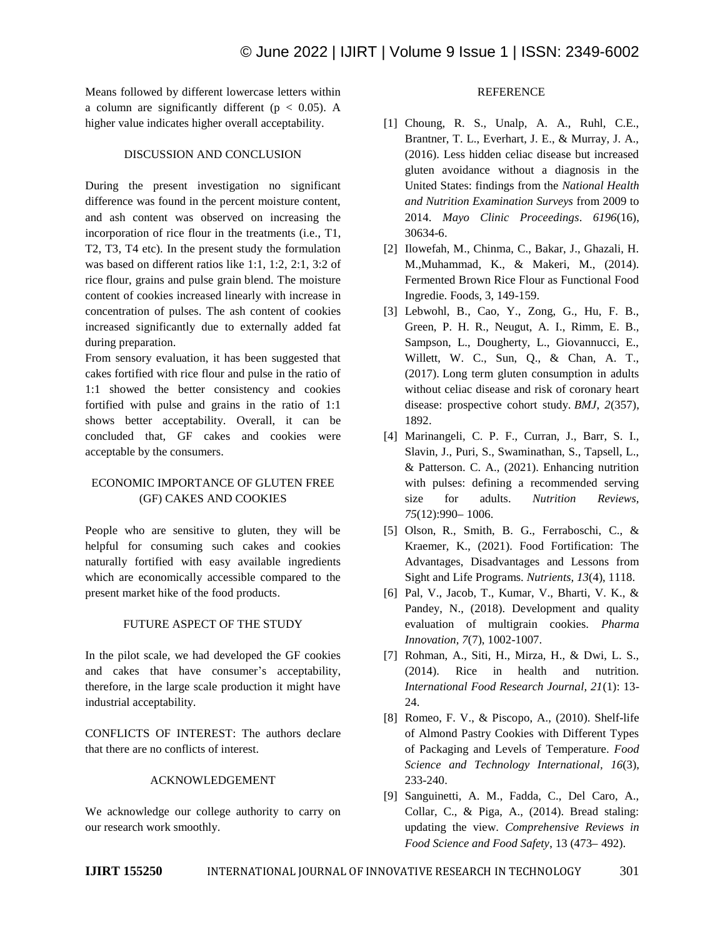Means followed by different lowercase letters within a column are significantly different ( $p < 0.05$ ). A higher value indicates higher overall acceptability.

## DISCUSSION AND CONCLUSION

During the present investigation no significant difference was found in the percent moisture content, and ash content was observed on increasing the incorporation of rice flour in the treatments (i.e., T1, T2, T3, T4 etc). In the present study the formulation was based on different ratios like 1:1, 1:2, 2:1, 3:2 of rice flour, grains and pulse grain blend. The moisture content of cookies increased linearly with increase in concentration of pulses. The ash content of cookies increased significantly due to externally added fat during preparation.

From sensory evaluation, it has been suggested that cakes fortified with rice flour and pulse in the ratio of 1:1 showed the better consistency and cookies fortified with pulse and grains in the ratio of 1:1 shows better acceptability. Overall, it can be concluded that, GF cakes and cookies were acceptable by the consumers.

# ECONOMIC IMPORTANCE OF GLUTEN FREE (GF) CAKES AND COOKIES

People who are sensitive to gluten, they will be helpful for consuming such cakes and cookies naturally fortified with easy available ingredients which are economically accessible compared to the present market hike of the food products.

## FUTURE ASPECT OF THE STUDY

In the pilot scale, we had developed the GF cookies and cakes that have consumer's acceptability, therefore, in the large scale production it might have industrial acceptability.

CONFLICTS OF INTEREST: The authors declare that there are no conflicts of interest.

## ACKNOWLEDGEMENT

We acknowledge our college authority to carry on our research work smoothly.

# **REFERENCE**

- [1] Choung, R. S., Unalp, A. A., Ruhl, C.E., Brantner, T. L., Everhart, J. E., & Murray, J. A., (2016). Less hidden celiac disease but increased gluten avoidance without a diagnosis in the United States: findings from the *National Health and Nutrition Examination Surveys* from 2009 to 2014. *Mayo Clinic Proceedings*. *6196*(16), 30634-6.
- [2] Ilowefah, M., Chinma, C., Bakar, J., Ghazali, H. M.,Muhammad, K., & Makeri, M., (2014). Fermented Brown Rice Flour as Functional Food Ingredie. Foods, 3, 149-159.
- [3] Lebwohl, B., Cao, Y., Zong, G., Hu, F. B., Green, P. H. R., Neugut, A. I., Rimm, E. B., Sampson, L., Dougherty, L., Giovannucci, E., Willett, W. C., Sun, Q., & Chan, A. T., (2017). Long term gluten consumption in adults without celiac disease and risk of coronary heart disease: prospective cohort study. *BMJ*, *2*(357), 1892.
- [4] Marinangeli, C. P. F., Curran, J., Barr, S. I., Slavin, J., Puri, S., Swaminathan, S., Tapsell, L., & Patterson. C. A., (2021). Enhancing nutrition with pulses: defining a recommended serving size for adults. *Nutrition Reviews, 75*(12):990– 1006.
- [5] [Olson,](https://www.ncbi.nlm.nih.gov/pubmed/?term=Olson%20R%5BAuthor%5D&cauthor=true&cauthor_uid=33805305) R., [Smith,](https://www.ncbi.nlm.nih.gov/pubmed/?term=Gavin-Smith%20B%5BAuthor%5D&cauthor=true&cauthor_uid=33805305) B. G., [Ferraboschi,](https://www.ncbi.nlm.nih.gov/pubmed/?term=Ferraboschi%20C%5BAuthor%5D&cauthor=true&cauthor_uid=33805305) C., [&](https://www.ncbi.nlm.nih.gov/pubmed/?term=Kraemer%20K%5BAuthor%5D&cauthor=true&cauthor_uid=33805305)  [Kraemer,](https://www.ncbi.nlm.nih.gov/pubmed/?term=Kraemer%20K%5BAuthor%5D&cauthor=true&cauthor_uid=33805305) K., (2021). Food Fortification: The Advantages, Disadvantages and Lessons from Sight and Life Programs. *Nutrients, 13*(4), 1118.
- [6] Pal, V., Jacob, T., Kumar, V., Bharti, V. K., & Pandey, N., (2018). Development and quality evaluation of multigrain cookies. *Pharma Innovation, 7*(7), 1002-1007.
- [7] Rohman, A., Siti, H., Mirza, H., & Dwi, L. S., (2014). Rice in health and nutrition. *International Food Research Journal, 21*(1): 13- 24.
- [8] Romeo, F. V., & Piscopo, A., (2010). Shelf-life of Almond Pastry Cookies with Different Types of Packaging and Levels of Temperature. *[Food](https://www.researchgate.net/journal/Food-Science-and-Technology-International-1532-1738)  [Science and Technology International,](https://www.researchgate.net/journal/Food-Science-and-Technology-International-1532-1738) 16*(3), 233-240.
- [9] Sanguinetti, A. M., Fadda, C., Del Caro, A., Collar, C., & Piga, A., (2014). Bread staling: updating the view. *Comprehensive Reviews in Food Science and Food Safety*, 13 (473– 492).